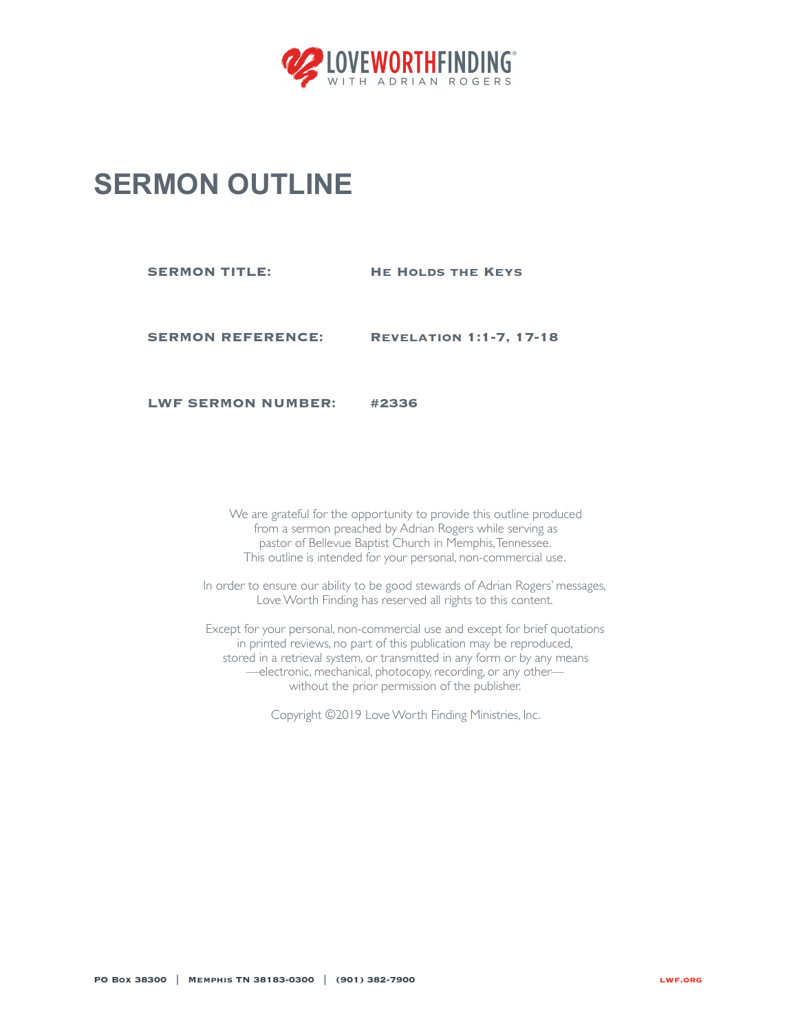

## **SERMON OUTLINE**

**SERMON TITLE: HE HOLDS THE KEYS** 

**SERMON REFERENCE: Revelation 1:1-7, 17-18**

**LWF SERMON NUMBER: #2336**

We are grateful for the opportunity to provide this outline produced from a sermon preached by Adrian Rogers while serving as pastor of Bellevue Baptist Church in Memphis, Tennessee. This outline is intended for your personal, non-commercial use.

In order to ensure our ability to be good stewards of Adrian Rogers' messages, Love Worth Finding has reserved all rights to this content.

Except for your personal, non-commercial use and except for brief quotations in printed reviews, no part of this publication may be reproduced, stored in a retrieval system, or transmitted in any form or by any means —electronic, mechanical, photocopy, recording, or any other without the prior permission of the publisher.

Copyright ©2019 Love Worth Finding Ministries, Inc.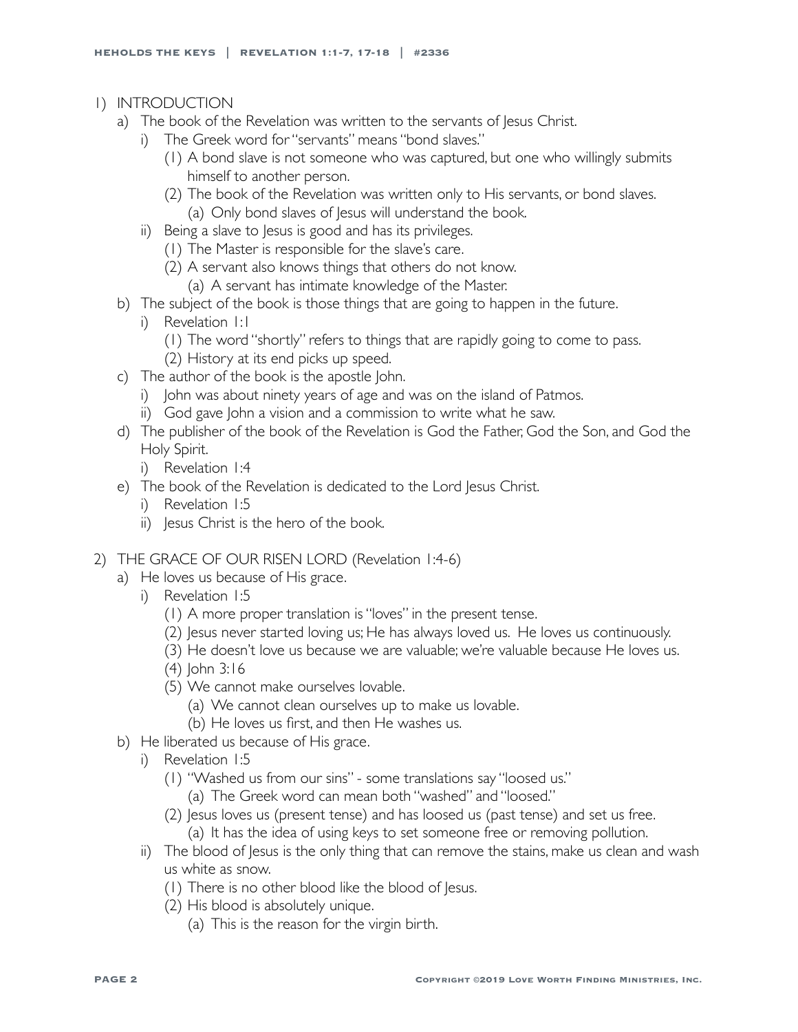- 1) INTRODUCTION
	- a) The book of the Revelation was written to the servants of Jesus Christ.
		- i) The Greek word for "servants" means "bond slaves."
			- (1) A bond slave is not someone who was captured, but one who willingly submits himself to another person.
			- (2) The book of the Revelation was written only to His servants, or bond slaves. (a) Only bond slaves of Jesus will understand the book.
		- ii) Being a slave to Jesus is good and has its privileges.
			- (1) The Master is responsible for the slave's care.
			- (2) A servant also knows things that others do not know.
				- (a) A servant has intimate knowledge of the Master.
	- b) The subject of the book is those things that are going to happen in the future.
		- i) Revelation 1:1
			- (1) The word "shortly" refers to things that are rapidly going to come to pass.
			- (2) History at its end picks up speed.
	- c) The author of the book is the apostle John.
		- i) John was about ninety years of age and was on the island of Patmos.
		- ii) God gave John a vision and a commission to write what he saw.
	- d) The publisher of the book of the Revelation is God the Father, God the Son, and God the Holy Spirit.
		- i) Revelation 1:4
	- e) The book of the Revelation is dedicated to the Lord Jesus Christ.
		- i) Revelation 1:5
		- ii) Jesus Christ is the hero of the book.

## 2) THE GRACE OF OUR RISEN LORD (Revelation 1:4-6)

- a) He loves us because of His grace.
	- i) Revelation 1:5
		- (1) A more proper translation is "loves" in the present tense.
		- (2) Jesus never started loving us; He has always loved us. He loves us continuously.
		- (3) He doesn't love us because we are valuable; we're valuable because He loves us.
		- (4) John 3:16
		- (5) We cannot make ourselves lovable.
			- (a) We cannot clean ourselves up to make us lovable.
			- (b) He loves us first, and then He washes us.
- b) He liberated us because of His grace.
	- i) Revelation 1:5
		- (1) "Washed us from our sins" some translations say "loosed us."
			- (a) The Greek word can mean both "washed" and "loosed."
		- (2) Jesus loves us (present tense) and has loosed us (past tense) and set us free. (a) It has the idea of using keys to set someone free or removing pollution.
	- ii) The blood of Jesus is the only thing that can remove the stains, make us clean and wash us white as snow.
		- (1) There is no other blood like the blood of Jesus.
		- (2) His blood is absolutely unique.
			- (a) This is the reason for the virgin birth.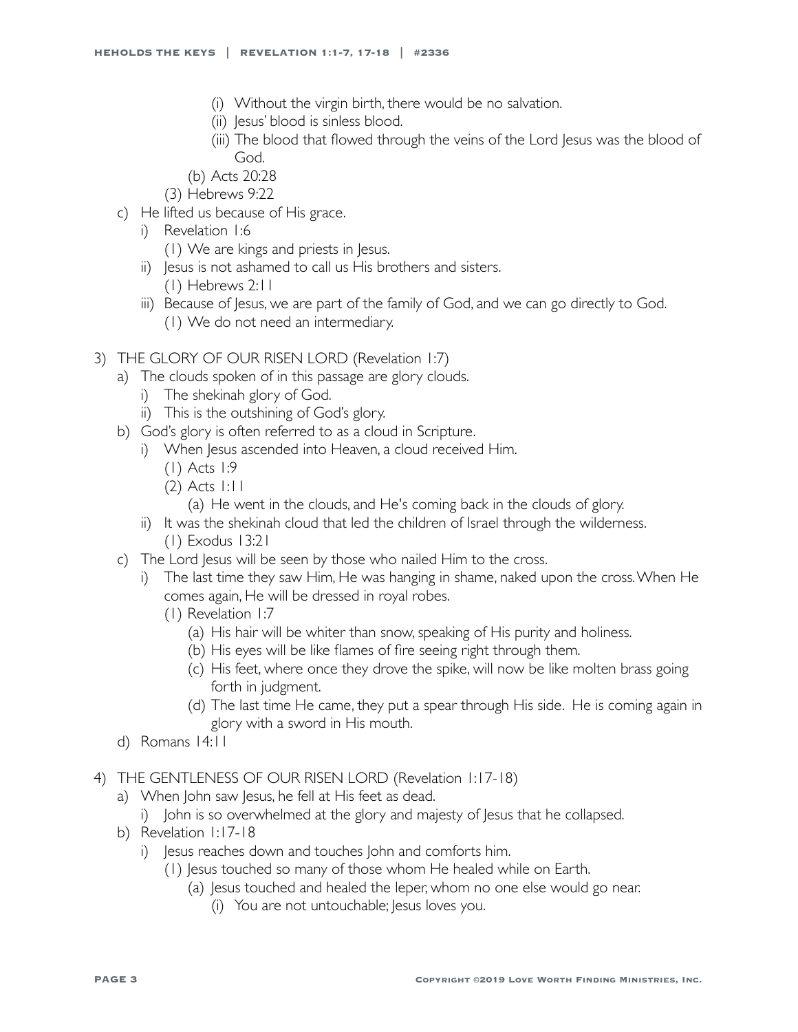- (i) Without the virgin birth, there would be no salvation.
- (ii) Jesus' blood is sinless blood.
- (iii) The blood that flowed through the veins of the Lord Jesus was the blood of God.
- (b) Acts 20:28
- (3) Hebrews 9:22
- c) He lifted us because of His grace.
	- i) Revelation 1:6
		- (1) We are kings and priests in Jesus.
	- ii) Jesus is not ashamed to call us His brothers and sisters. (1) Hebrews 2:11
	- iii) Because of Jesus, we are part of the family of God, and we can go directly to God. (1) We do not need an intermediary.
- 3) THE GLORY OF OUR RISEN LORD (Revelation 1:7)
	- a) The clouds spoken of in this passage are glory clouds.
		- i) The shekinah glory of God.
		- ii) This is the outshining of God's glory.
	- b) God's glory is often referred to as a cloud in Scripture.
		- i) When Jesus ascended into Heaven, a cloud received Him.
			- (1) Acts 1:9
			- (2) Acts 1:11
				- (a) He went in the clouds, and He's coming back in the clouds of glory.
		- ii) It was the shekinah cloud that led the children of Israel through the wilderness. (1) Exodus 13:21
	- c) The Lord Jesus will be seen by those who nailed Him to the cross.
		- i) The last time they saw Him, He was hanging in shame, naked upon the cross. When He comes again, He will be dressed in royal robes.
			- (1) Revelation 1:7
				- (a) His hair will be whiter than snow, speaking of His purity and holiness.
				- (b) His eyes will be like flames of fire seeing right through them.
				- (c) His feet, where once they drove the spike, will now be like molten brass going forth in judgment.
				- (d) The last time He came, they put a spear through His side. He is coming again in glory with a sword in His mouth.
	- d) Romans 14:11
- 4) THE GENTLENESS OF OUR RISEN LORD (Revelation 1:17-18)
	- a) When John saw Jesus, he fell at His feet as dead.
		- i) John is so overwhelmed at the glory and majesty of Jesus that he collapsed.
	- b) Revelation 1:17-18
		- i) Jesus reaches down and touches John and comforts him.
			- (1) Jesus touched so many of those whom He healed while on Earth.
				- (a) Jesus touched and healed the leper, whom no one else would go near.
					- (i) You are not untouchable; Jesus loves you.